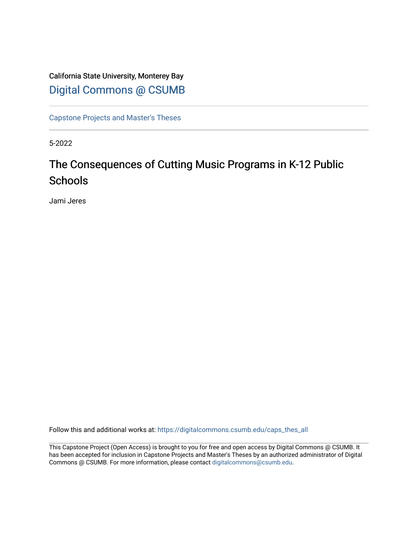# California State University, Monterey Bay [Digital Commons @ CSUMB](https://digitalcommons.csumb.edu/)

[Capstone Projects and Master's Theses](https://digitalcommons.csumb.edu/caps_thes_all)

5-2022

# The Consequences of Cutting Music Programs in K-12 Public **Schools**

Jami Jeres

Follow this and additional works at: [https://digitalcommons.csumb.edu/caps\\_thes\\_all](https://digitalcommons.csumb.edu/caps_thes_all?utm_source=digitalcommons.csumb.edu%2Fcaps_thes_all%2F1296&utm_medium=PDF&utm_campaign=PDFCoverPages)

This Capstone Project (Open Access) is brought to you for free and open access by Digital Commons @ CSUMB. It has been accepted for inclusion in Capstone Projects and Master's Theses by an authorized administrator of Digital Commons @ CSUMB. For more information, please contact [digitalcommons@csumb.edu](mailto:digitalcommons@csumb.edu).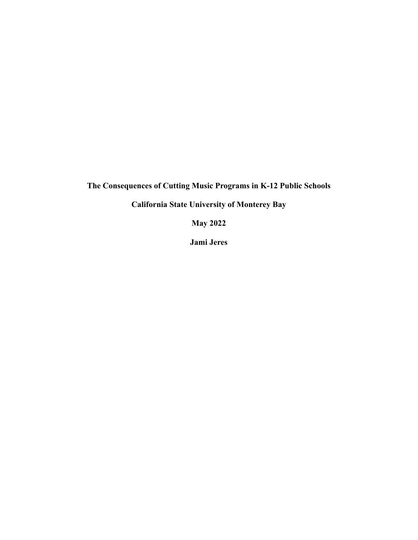**The Consequences of Cutting Music Programs in K-12 Public Schools**

**California State University of Monterey Bay**

**May 2022**

**Jami Jeres**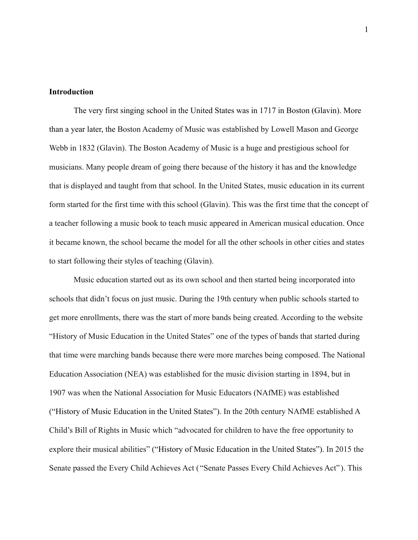# **Introduction**

The very first singing school in the United States was in 1717 in Boston (Glavin). More than a year later, the Boston Academy of Music was established by Lowell Mason and George Webb in 1832 (Glavin). The Boston Academy of Music is a huge and prestigious school for musicians. Many people dream of going there because of the history it has and the knowledge that is displayed and taught from that school. In the United States, music education in its current form started for the first time with this school (Glavin). This was the first time that the concept of a teacher following a music book to teach music appeared in American musical education. Once it became known, the school became the model for all the other schools in other cities and states to start following their styles of teaching (Glavin).

Music education started out as its own school and then started being incorporated into schools that didn't focus on just music. During the 19th century when public schools started to get more enrollments, there was the start of more bands being created. According to the website "History of Music Education in the United States" one of the types of bands that started during that time were marching bands because there were more marches being composed. The National Education Association (NEA) was established for the music division starting in 1894, but in 1907 was when the National Association for Music Educators (NAfME) was established ("History of Music Education in the United States"). In the 20th century NAfME established A Child's Bill of Rights in Music which "advocated for children to have the free opportunity to explore their musical abilities" ("History of Music Education in the United States"). In 2015 the Senate passed the Every Child Achieves Act ( "Senate Passes Every Child Achieves Act" ). This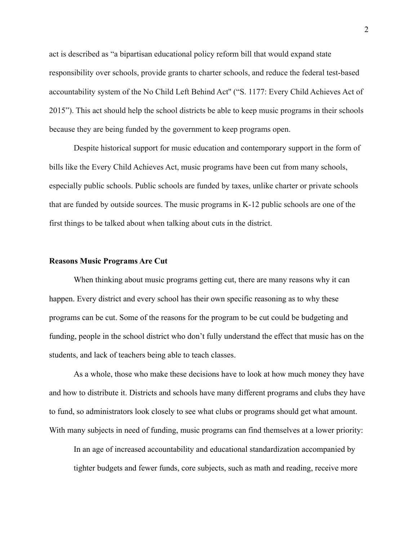act is described as "a bipartisan educational policy reform bill that would expand state responsibility over schools, provide grants to charter schools, and reduce the federal test-based accountability system of the No Child Left Behind Act'' ("S. 1177: Every Child Achieves Act of 2015"). This act should help the school districts be able to keep music programs in their schools because they are being funded by the government to keep programs open.

Despite historical support for music education and contemporary support in the form of bills like the Every Child Achieves Act, music programs have been cut from many schools, especially public schools. Public schools are funded by taxes, unlike charter or private schools that are funded by outside sources. The music programs in K-12 public schools are one of the first things to be talked about when talking about cuts in the district.

#### **Reasons Music Programs Are Cut**

When thinking about music programs getting cut, there are many reasons why it can happen. Every district and every school has their own specific reasoning as to why these programs can be cut. Some of the reasons for the program to be cut could be budgeting and funding, people in the school district who don't fully understand the effect that music has on the students, and lack of teachers being able to teach classes.

As a whole, those who make these decisions have to look at how much money they have and how to distribute it. Districts and schools have many different programs and clubs they have to fund, so administrators look closely to see what clubs or programs should get what amount. With many subjects in need of funding, music programs can find themselves at a lower priority:

In an age of increased accountability and educational standardization accompanied by tighter budgets and fewer funds, core subjects, such as math and reading, receive more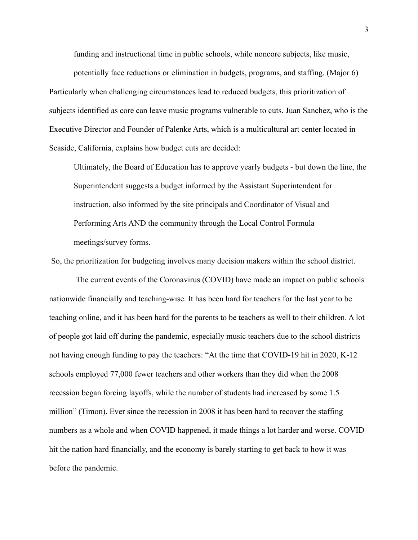funding and instructional time in public schools, while noncore subjects, like music,

potentially face reductions or elimination in budgets, programs, and staffing. (Major 6) Particularly when challenging circumstances lead to reduced budgets, this prioritization of subjects identified as core can leave music programs vulnerable to cuts. Juan Sanchez, who is the Executive Director and Founder of Palenke Arts, which is a multicultural art center located in Seaside, California, explains how budget cuts are decided:

Ultimately, the Board of Education has to approve yearly budgets - but down the line, the Superintendent suggests a budget informed by the Assistant Superintendent for instruction, also informed by the site principals and Coordinator of Visual and Performing Arts AND the community through the Local Control Formula meetings/survey forms.

So, the prioritization for budgeting involves many decision makers within the school district.

The current events of the Coronavirus (COVID) have made an impact on public schools nationwide financially and teaching-wise. It has been hard for teachers for the last year to be teaching online, and it has been hard for the parents to be teachers as well to their children. A lot of people got laid off during the pandemic, especially music teachers due to the school districts not having enough funding to pay the teachers: "At the time that COVID-19 hit in 2020, K-12 schools employed 77,000 fewer teachers and other workers than they did when the 2008 recession began forcing layoffs, while the number of students had increased by some 1.5 million" (Timon). Ever since the recession in 2008 it has been hard to recover the staffing numbers as a whole and when COVID happened, it made things a lot harder and worse. COVID hit the nation hard financially, and the economy is barely starting to get back to how it was before the pandemic.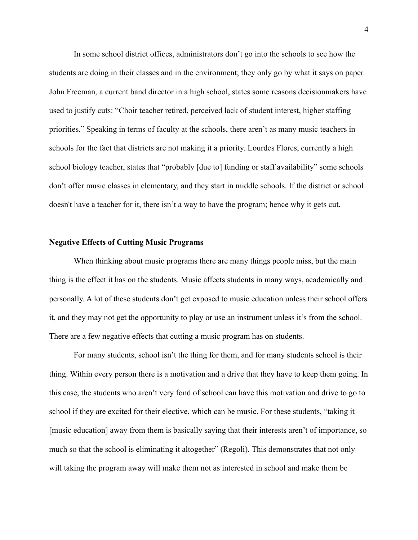In some school district offices, administrators don't go into the schools to see how the students are doing in their classes and in the environment; they only go by what it says on paper. John Freeman, a current band director in a high school, states some reasons decisionmakers have used to justify cuts: "Choir teacher retired, perceived lack of student interest, higher staffing priorities." Speaking in terms of faculty at the schools, there aren't as many music teachers in schools for the fact that districts are not making it a priority. Lourdes Flores, currently a high school biology teacher, states that "probably [due to] funding or staff availability" some schools don't offer music classes in elementary, and they start in middle schools. If the district or school doesn't have a teacher for it, there isn't a way to have the program; hence why it gets cut.

#### **Negative Effects of Cutting Music Programs**

When thinking about music programs there are many things people miss, but the main thing is the effect it has on the students. Music affects students in many ways, academically and personally. A lot of these students don't get exposed to music education unless their school offers it, and they may not get the opportunity to play or use an instrument unless it's from the school. There are a few negative effects that cutting a music program has on students.

For many students, school isn't the thing for them, and for many students school is their thing. Within every person there is a motivation and a drive that they have to keep them going. In this case, the students who aren't very fond of school can have this motivation and drive to go to school if they are excited for their elective, which can be music. For these students, "taking it [music education] away from them is basically saying that their interests aren't of importance, so much so that the school is eliminating it altogether" (Regoli). This demonstrates that not only will taking the program away will make them not as interested in school and make them be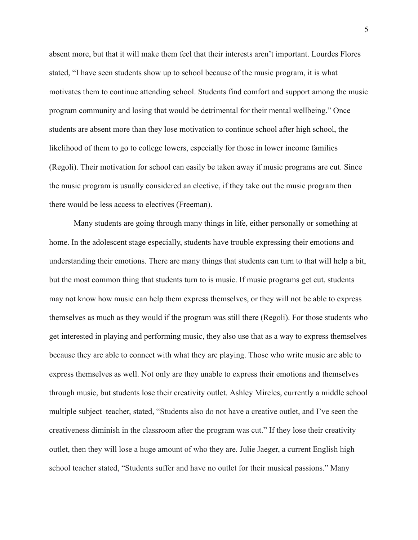absent more, but that it will make them feel that their interests aren't important. Lourdes Flores stated, "I have seen students show up to school because of the music program, it is what motivates them to continue attending school. Students find comfort and support among the music program community and losing that would be detrimental for their mental wellbeing." Once students are absent more than they lose motivation to continue school after high school, the likelihood of them to go to college lowers, especially for those in lower income families (Regoli). Their motivation for school can easily be taken away if music programs are cut. Since the music program is usually considered an elective, if they take out the music program then there would be less access to electives (Freeman).

Many students are going through many things in life, either personally or something at home. In the adolescent stage especially, students have trouble expressing their emotions and understanding their emotions. There are many things that students can turn to that will help a bit, but the most common thing that students turn to is music. If music programs get cut, students may not know how music can help them express themselves, or they will not be able to express themselves as much as they would if the program was still there (Regoli). For those students who get interested in playing and performing music, they also use that as a way to express themselves because they are able to connect with what they are playing. Those who write music are able to express themselves as well. Not only are they unable to express their emotions and themselves through music, but students lose their creativity outlet. Ashley Mireles, currently a middle school multiple subject teacher, stated, "Students also do not have a creative outlet, and I've seen the creativeness diminish in the classroom after the program was cut." If they lose their creativity outlet, then they will lose a huge amount of who they are. Julie Jaeger, a current English high school teacher stated, "Students suffer and have no outlet for their musical passions." Many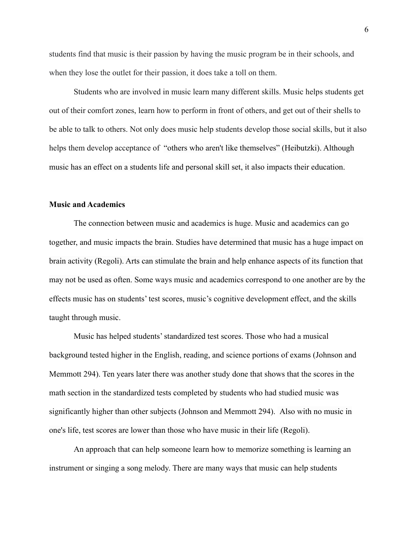students find that music is their passion by having the music program be in their schools, and when they lose the outlet for their passion, it does take a toll on them.

Students who are involved in music learn many different skills. Music helps students get out of their comfort zones, learn how to perform in front of others, and get out of their shells to be able to talk to others. Not only does music help students develop those social skills, but it also helps them develop acceptance of "others who aren't like themselves" (Heibutzki). Although music has an effect on a students life and personal skill set, it also impacts their education.

# **Music and Academics**

The connection between music and academics is huge. Music and academics can go together, and music impacts the brain. Studies have determined that music has a huge impact on brain activity (Regoli). Arts can stimulate the brain and help enhance aspects of its function that may not be used as often. Some ways music and academics correspond to one another are by the effects music has on students' test scores, music's cognitive development effect, and the skills taught through music.

Music has helped students' standardized test scores. Those who had a musical background tested higher in the English, reading, and science portions of exams (Johnson and Memmott 294). Ten years later there was another study done that shows that the scores in the math section in the standardized tests completed by students who had studied music was significantly higher than other subjects (Johnson and Memmott 294). Also with no music in one's life, test scores are lower than those who have music in their life (Regoli).

An approach that can help someone learn how to memorize something is learning an instrument or singing a song melody. There are many ways that music can help students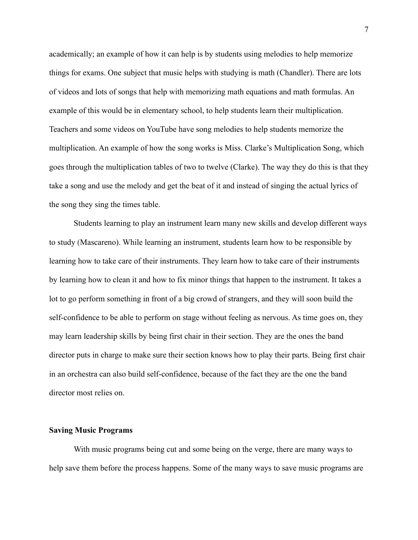academically; an example of how it can help is by students using melodies to help memorize things for exams. One subject that music helps with studying is math (Chandler). There are lots of videos and lots of songs that help with memorizing math equations and math formulas. An example of this would be in elementary school, to help students learn their multiplication. Teachers and some videos on YouTube have song melodies to help students memorize the multiplication. An example of how the song works is Miss. Clarke's Multiplication Song, which goes through the multiplication tables of two to twelve (Clarke). The way they do this is that they take a song and use the melody and get the beat of it and instead of singing the actual lyrics of the song they sing the times table.

Students learning to play an instrument learn many new skills and develop different ways to study (Mascareno). While learning an instrument, students learn how to be responsible by learning how to take care of their instruments. They learn how to take care of their instruments by learning how to clean it and how to fix minor things that happen to the instrument. It takes a lot to go perform something in front of a big crowd of strangers, and they will soon build the self-confidence to be able to perform on stage without feeling as nervous. As time goes on, they may learn leadership skills by being first chair in their section. They are the ones the band director puts in charge to make sure their section knows how to play their parts. Being first chair in an orchestra can also build self-confidence, because of the fact they are the one the band director most relies on.

#### **Saving Music Programs**

With music programs being cut and some being on the verge, there are many ways to help save them before the process happens. Some of the many ways to save music programs are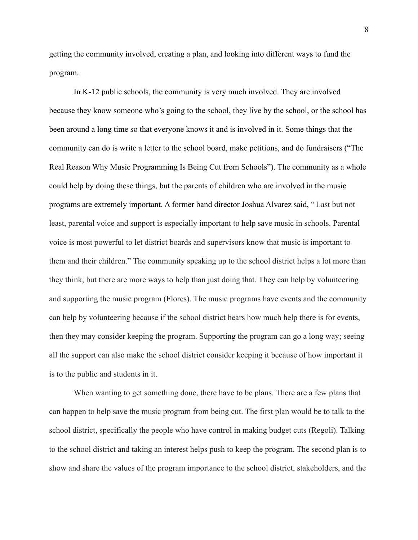getting the community involved, creating a plan, and looking into different ways to fund the program.

In K-12 public schools, the community is very much involved. They are involved because they know someone who's going to the school, they live by the school, or the school has been around a long time so that everyone knows it and is involved in it. Some things that the community can do is write a letter to the school board, make petitions, and do fundraisers ("The Real Reason Why Music Programming Is Being Cut from Schools"). The community as a whole could help by doing these things, but the parents of children who are involved in the music programs are extremely important. A former band director Joshua Alvarez said, " Last but not least, parental voice and support is especially important to help save music in schools. Parental voice is most powerful to let district boards and supervisors know that music is important to them and their children." The community speaking up to the school district helps a lot more than they think, but there are more ways to help than just doing that. They can help by volunteering and supporting the music program (Flores). The music programs have events and the community can help by volunteering because if the school district hears how much help there is for events, then they may consider keeping the program. Supporting the program can go a long way; seeing all the support can also make the school district consider keeping it because of how important it is to the public and students in it.

When wanting to get something done, there have to be plans. There are a few plans that can happen to help save the music program from being cut. The first plan would be to talk to the school district, specifically the people who have control in making budget cuts (Regoli). Talking to the school district and taking an interest helps push to keep the program. The second plan is to show and share the values of the program importance to the school district, stakeholders, and the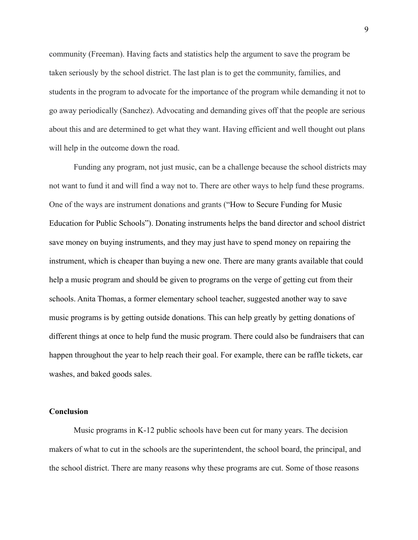community (Freeman). Having facts and statistics help the argument to save the program be taken seriously by the school district. The last plan is to get the community, families, and students in the program to advocate for the importance of the program while demanding it not to go away periodically (Sanchez). Advocating and demanding gives off that the people are serious about this and are determined to get what they want. Having efficient and well thought out plans will help in the outcome down the road.

Funding any program, not just music, can be a challenge because the school districts may not want to fund it and will find a way not to. There are other ways to help fund these programs. One of the ways are instrument donations and grants ("How to Secure Funding for Music Education for Public Schools"). Donating instruments helps the band director and school district save money on buying instruments, and they may just have to spend money on repairing the instrument, which is cheaper than buying a new one. There are many grants available that could help a music program and should be given to programs on the verge of getting cut from their schools. Anita Thomas, a former elementary school teacher, suggested another way to save music programs is by getting outside donations. This can help greatly by getting donations of different things at once to help fund the music program. There could also be fundraisers that can happen throughout the year to help reach their goal. For example, there can be raffle tickets, car washes, and baked goods sales.

# **Conclusion**

Music programs in K-12 public schools have been cut for many years. The decision makers of what to cut in the schools are the superintendent, the school board, the principal, and the school district. There are many reasons why these programs are cut. Some of those reasons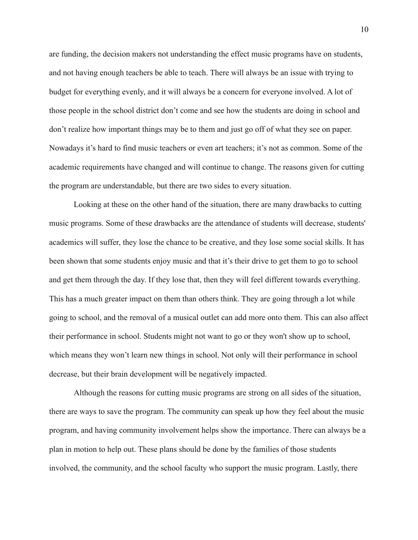are funding, the decision makers not understanding the effect music programs have on students, and not having enough teachers be able to teach. There will always be an issue with trying to budget for everything evenly, and it will always be a concern for everyone involved. A lot of those people in the school district don't come and see how the students are doing in school and don't realize how important things may be to them and just go off of what they see on paper. Nowadays it's hard to find music teachers or even art teachers; it's not as common. Some of the academic requirements have changed and will continue to change. The reasons given for cutting the program are understandable, but there are two sides to every situation.

Looking at these on the other hand of the situation, there are many drawbacks to cutting music programs. Some of these drawbacks are the attendance of students will decrease, students' academics will suffer, they lose the chance to be creative, and they lose some social skills. It has been shown that some students enjoy music and that it's their drive to get them to go to school and get them through the day. If they lose that, then they will feel different towards everything. This has a much greater impact on them than others think. They are going through a lot while going to school, and the removal of a musical outlet can add more onto them. This can also affect their performance in school. Students might not want to go or they won't show up to school, which means they won't learn new things in school. Not only will their performance in school decrease, but their brain development will be negatively impacted.

Although the reasons for cutting music programs are strong on all sides of the situation, there are ways to save the program. The community can speak up how they feel about the music program, and having community involvement helps show the importance. There can always be a plan in motion to help out. These plans should be done by the families of those students involved, the community, and the school faculty who support the music program. Lastly, there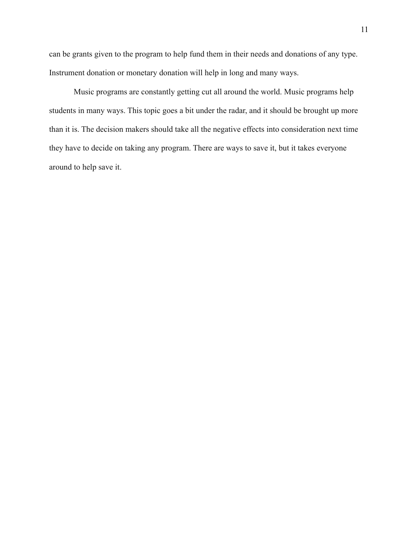can be grants given to the program to help fund them in their needs and donations of any type. Instrument donation or monetary donation will help in long and many ways.

Music programs are constantly getting cut all around the world. Music programs help students in many ways. This topic goes a bit under the radar, and it should be brought up more than it is. The decision makers should take all the negative effects into consideration next time they have to decide on taking any program. There are ways to save it, but it takes everyone around to help save it.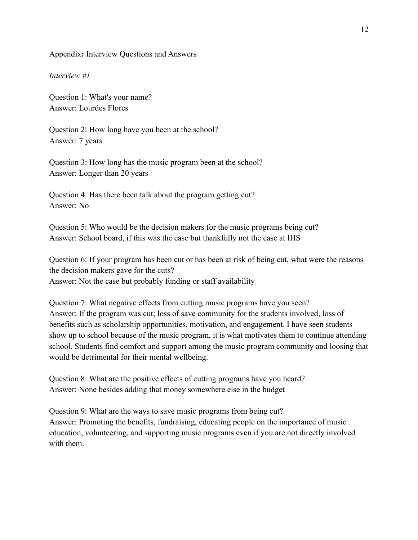# Appendix**:** Interview Questions and Answers

# *Interview #1*

Question 1: What's your name? Answer: Lourdes Flores

Question 2: How long have you been at the school? Answer: 7 years

Question 3: How long has the music program been at the school? Answer: Longer than 20 years

Question 4: Has there been talk about the program getting cut? Answer: No

Question 5: Who would be the decision makers for the music programs being cut? Answer: School board, if this was the case but thankfully not the case at IHS

Question 6: If your program has been cut or has been at risk of being cut, what were the reasons the decision makers gave for the cuts? Answer: Not the case but probably funding or staff availability

Question 7: What negative effects from cutting music programs have you seen? Answer: If the program was cut; loss of save community for the students involved, loss of benefits such as scholarship opportunities, motivation, and engagement. I have seen students show up to school because of the music program, it is what motivates them to continue attending school. Students find comfort and support among the music program community and loosing that would be detrimental for their mental wellbeing.

Question 8: What are the positive effects of cutting programs have you heard? Answer: None besides adding that money somewhere else in the budget

Question 9: What are the ways to save music programs from being cut? Answer: Promoting the benefits, fundraising, educating people on the importance of music education, volunteering, and supporting music programs even if you are not directly involved with them.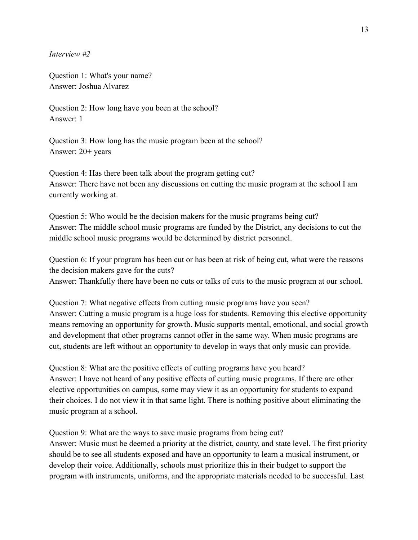*Interview #2*

Question 1: What's your name? Answer: Joshua Alvarez

Question 2: How long have you been at the school? Answer: 1

Question 3: How long has the music program been at the school? Answer: 20+ years

Question 4: Has there been talk about the program getting cut? Answer: There have not been any discussions on cutting the music program at the school I am currently working at.

Question 5: Who would be the decision makers for the music programs being cut? Answer: The middle school music programs are funded by the District, any decisions to cut the middle school music programs would be determined by district personnel.

Question 6: If your program has been cut or has been at risk of being cut, what were the reasons the decision makers gave for the cuts?

Answer: Thankfully there have been no cuts or talks of cuts to the music program at our school.

Question 7: What negative effects from cutting music programs have you seen? Answer: Cutting a music program is a huge loss for students. Removing this elective opportunity means removing an opportunity for growth. Music supports mental, emotional, and social growth and development that other programs cannot offer in the same way. When music programs are cut, students are left without an opportunity to develop in ways that only music can provide.

Question 8: What are the positive effects of cutting programs have you heard? Answer: I have not heard of any positive effects of cutting music programs. If there are other elective opportunities on campus, some may view it as an opportunity for students to expand their choices. I do not view it in that same light. There is nothing positive about eliminating the music program at a school.

Question 9: What are the ways to save music programs from being cut?

Answer: Music must be deemed a priority at the district, county, and state level. The first priority should be to see all students exposed and have an opportunity to learn a musical instrument, or develop their voice. Additionally, schools must prioritize this in their budget to support the program with instruments, uniforms, and the appropriate materials needed to be successful. Last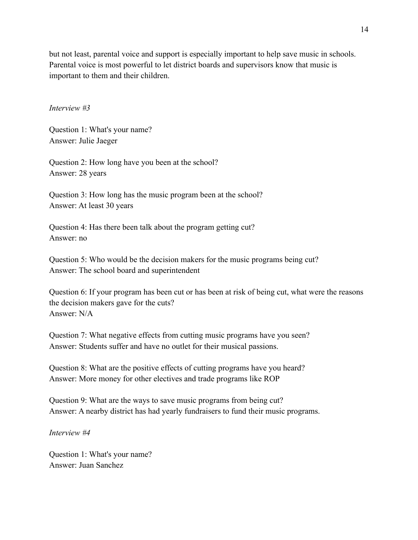but not least, parental voice and support is especially important to help save music in schools. Parental voice is most powerful to let district boards and supervisors know that music is important to them and their children.

## *Interview #3*

Question 1: What's your name? Answer: Julie Jaeger

Question 2: How long have you been at the school? Answer: 28 years

Question 3: How long has the music program been at the school? Answer: At least 30 years

Question 4: Has there been talk about the program getting cut? Answer: no

Question 5: Who would be the decision makers for the music programs being cut? Answer: The school board and superintendent

Question 6: If your program has been cut or has been at risk of being cut, what were the reasons the decision makers gave for the cuts? Answer: N/A

Question 7: What negative effects from cutting music programs have you seen? Answer: Students suffer and have no outlet for their musical passions.

Question 8: What are the positive effects of cutting programs have you heard? Answer: More money for other electives and trade programs like ROP

Question 9: What are the ways to save music programs from being cut? Answer: A nearby district has had yearly fundraisers to fund their music programs.

*Interview #4*

Question 1: What's your name? Answer: Juan Sanchez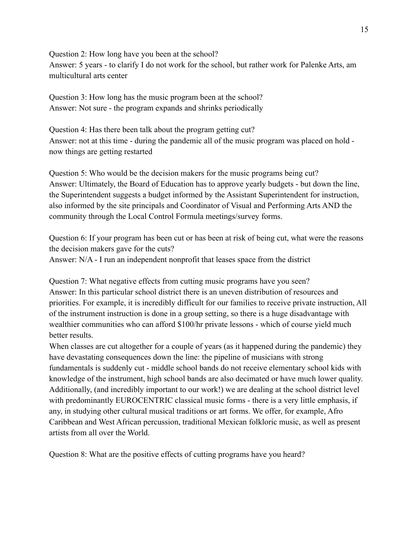Question 2: How long have you been at the school? Answer: 5 years - to clarify I do not work for the school, but rather work for Palenke Arts, am multicultural arts center

Question 3: How long has the music program been at the school? Answer: Not sure - the program expands and shrinks periodically

Question 4: Has there been talk about the program getting cut? Answer: not at this time - during the pandemic all of the music program was placed on hold now things are getting restarted

Question 5: Who would be the decision makers for the music programs being cut? Answer: Ultimately, the Board of Education has to approve yearly budgets - but down the line, the Superintendent suggests a budget informed by the Assistant Superintendent for instruction, also informed by the site principals and Coordinator of Visual and Performing Arts AND the community through the Local Control Formula meetings/survey forms.

Question 6: If your program has been cut or has been at risk of being cut, what were the reasons the decision makers gave for the cuts? Answer: N/A - I run an independent nonprofit that leases space from the district

Question 7: What negative effects from cutting music programs have you seen? Answer: In this particular school district there is an uneven distribution of resources and priorities. For example, it is incredibly difficult for our families to receive private instruction, All of the instrument instruction is done in a group setting, so there is a huge disadvantage with wealthier communities who can afford \$100/hr private lessons - which of course yield much better results.

When classes are cut altogether for a couple of years (as it happened during the pandemic) they have devastating consequences down the line: the pipeline of musicians with strong fundamentals is suddenly cut - middle school bands do not receive elementary school kids with knowledge of the instrument, high school bands are also decimated or have much lower quality. Additionally, (and incredibly important to our work!) we are dealing at the school district level with predominantly EUROCENTRIC classical music forms - there is a very little emphasis, if any, in studying other cultural musical traditions or art forms. We offer, for example, Afro Caribbean and West African percussion, traditional Mexican folkloric music, as well as present artists from all over the World.

Question 8: What are the positive effects of cutting programs have you heard?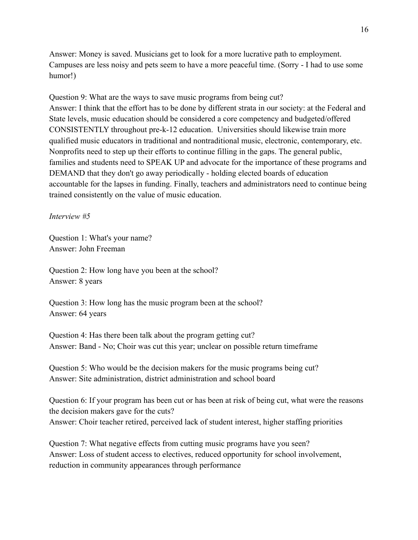Answer: Money is saved. Musicians get to look for a more lucrative path to employment. Campuses are less noisy and pets seem to have a more peaceful time. (Sorry - I had to use some humor!)

Question 9: What are the ways to save music programs from being cut? Answer: I think that the effort has to be done by different strata in our society: at the Federal and State levels, music education should be considered a core competency and budgeted/offered CONSISTENTLY throughout pre-k-12 education. Universities should likewise train more qualified music educators in traditional and nontraditional music, electronic, contemporary, etc. Nonprofits need to step up their efforts to continue filling in the gaps. The general public, families and students need to SPEAK UP and advocate for the importance of these programs and DEMAND that they don't go away periodically - holding elected boards of education accountable for the lapses in funding. Finally, teachers and administrators need to continue being trained consistently on the value of music education.

*Interview #5*

Question 1: What's your name? Answer: John Freeman

Question 2: How long have you been at the school? Answer: 8 years

Question 3: How long has the music program been at the school? Answer: 64 years

Question 4: Has there been talk about the program getting cut? Answer: Band - No; Choir was cut this year; unclear on possible return timeframe

Question 5: Who would be the decision makers for the music programs being cut? Answer: Site administration, district administration and school board

Question 6: If your program has been cut or has been at risk of being cut, what were the reasons the decision makers gave for the cuts? Answer: Choir teacher retired, perceived lack of student interest, higher staffing priorities

Question 7: What negative effects from cutting music programs have you seen? Answer: Loss of student access to electives, reduced opportunity for school involvement, reduction in community appearances through performance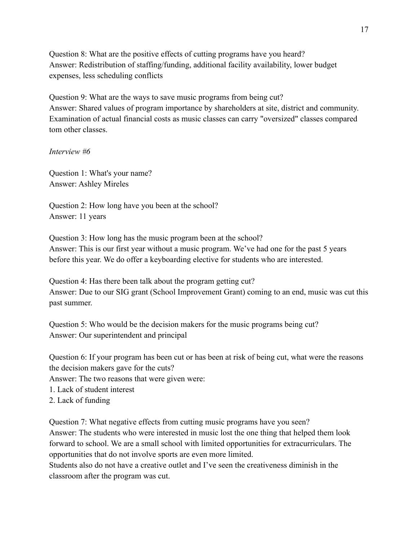Question 8: What are the positive effects of cutting programs have you heard? Answer: Redistribution of staffing/funding, additional facility availability, lower budget expenses, less scheduling conflicts

Question 9: What are the ways to save music programs from being cut? Answer: Shared values of program importance by shareholders at site, district and community. Examination of actual financial costs as music classes can carry "oversized" classes compared tom other classes.

# *Interview #6*

Question 1: What's your name? Answer: Ashley Mireles

Question 2: How long have you been at the school? Answer: 11 years

Question 3: How long has the music program been at the school? Answer: This is our first year without a music program. We've had one for the past 5 years before this year. We do offer a keyboarding elective for students who are interested.

Question 4: Has there been talk about the program getting cut? Answer: Due to our SIG grant (School Improvement Grant) coming to an end, music was cut this past summer.

Question 5: Who would be the decision makers for the music programs being cut? Answer: Our superintendent and principal

Question 6: If your program has been cut or has been at risk of being cut, what were the reasons the decision makers gave for the cuts?

Answer: The two reasons that were given were:

1. Lack of student interest

2. Lack of funding

Question 7: What negative effects from cutting music programs have you seen?

Answer: The students who were interested in music lost the one thing that helped them look forward to school. We are a small school with limited opportunities for extracurriculars. The opportunities that do not involve sports are even more limited.

Students also do not have a creative outlet and I've seen the creativeness diminish in the classroom after the program was cut.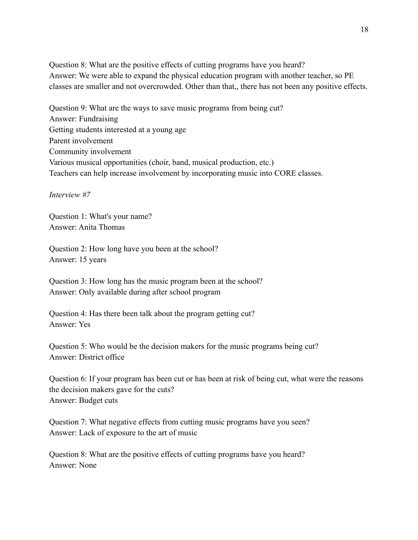Question 8: What are the positive effects of cutting programs have you heard? Answer: We were able to expand the physical education program with another teacher, so PE classes are smaller and not overcrowded. Other than that,, there has not been any positive effects.

Question 9: What are the ways to save music programs from being cut? Answer: Fundraising Getting students interested at a young age Parent involvement Community involvement Various musical opportunities (choir, band, musical production, etc.) Teachers can help increase involvement by incorporating music into CORE classes.

*Interview #7*

Question 1: What's your name? Answer: Anita Thomas

Question 2: How long have you been at the school? Answer: 15 years

Question 3: How long has the music program been at the school? Answer: Only available during after school program

Question 4: Has there been talk about the program getting cut? Answer: Yes

Question 5: Who would be the decision makers for the music programs being cut? Answer: District office

Question 6: If your program has been cut or has been at risk of being cut, what were the reasons the decision makers gave for the cuts? Answer: Budget cuts

Question 7: What negative effects from cutting music programs have you seen? Answer: Lack of exposure to the art of music

Question 8: What are the positive effects of cutting programs have you heard? Answer: None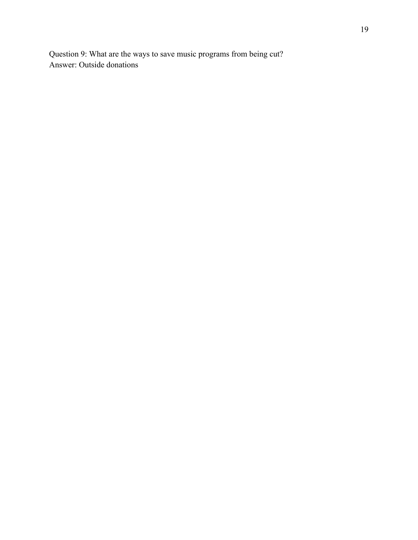Question 9: What are the ways to save music programs from being cut? Answer: Outside donations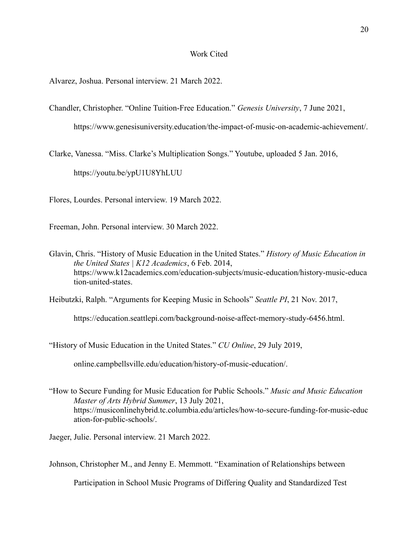### Work Cited

Alvarez, Joshua. Personal interview. 21 March 2022.

Chandler, Christopher. "Online Tuition-Free Education." *Genesis University*, 7 June 2021, https://www.genesisuniversity.education/the-impact-of-music-on-academic-achievement/.

Clarke, Vanessa. "Miss. Clarke's Multiplication Songs." Youtube, uploaded 5 Jan. 2016, https://youtu.be/ypU1U8YhLUU

Flores, Lourdes. Personal interview. 19 March 2022.

Freeman, John. Personal interview. 30 March 2022.

Glavin, Chris. "History of Music Education in the United States." *History of Music Education in the United States | K12 Academics*, 6 Feb. 2014, https://www.k12academics.com/education-subjects/music-education/history-music-educa tion-united-states.

Heibutzki, Ralph. "Arguments for Keeping Music in Schools" *Seattle PI*, 21 Nov. 2017,

https://education.seattlepi.com/background-noise-affect-memory-study-6456.html.

"History of Music Education in the United States." *CU Online*, 29 July 2019,

online.campbellsville.edu/education/history-of-music-education/.

"How to Secure Funding for Music Education for Public Schools." *Music and Music Education Master of Arts Hybrid Summer*, 13 July 2021, https://musiconlinehybrid.tc.columbia.edu/articles/how-to-secure-funding-for-music-educ ation-for-public-schools/.

Jaeger, Julie. Personal interview. 21 March 2022.

Johnson, Christopher M., and Jenny E. Memmott. "Examination of Relationships between

Participation in School Music Programs of Differing Quality and Standardized Test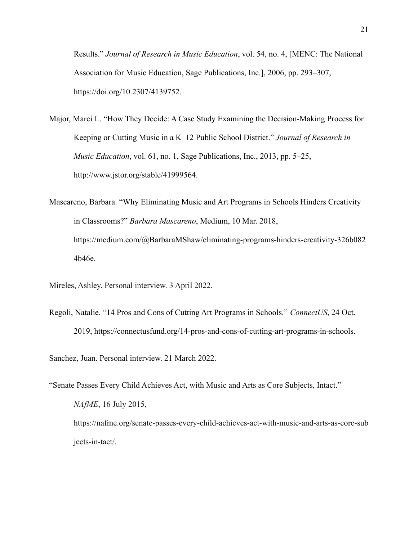Results." *Journal of Research in Music Education*, vol. 54, no. 4, [MENC: The National Association for Music Education, Sage Publications, Inc.], 2006, pp. 293–307, https://doi.org/10.2307/4139752.

- Major, Marci L. "How They Decide: A Case Study Examining the Decision-Making Process for Keeping or Cutting Music in a K–12 Public School District." *Journal of Research in Music Education*, vol. 61, no. 1, Sage Publications, Inc., 2013, pp. 5–25, http://www.jstor.org/stable/41999564.
- Mascareno, Barbara. "Why Eliminating Music and Art Programs in Schools Hinders Creativity in Classrooms?" *Barbara Mascareno*, Medium, 10 Mar. 2018, https://medium.com/@BarbaraMShaw/eliminating-programs-hinders-creativity-326b082 4b46e.

Mireles, Ashley. Personal interview. 3 April 2022.

Regoli, Natalie. "14 Pros and Cons of Cutting Art Programs in Schools." *ConnectUS*, 24 Oct. 2019, https://connectusfund.org/14-pros-and-cons-of-cutting-art-programs-in-schools.

Sanchez, Juan. Personal interview. 21 March 2022.

"Senate Passes Every Child Achieves Act, with Music and Arts as Core Subjects, Intact." *NAfME*, 16 July 2015, https://nafme.org/senate-passes-every-child-achieves-act-with-music-and-arts-as-core-sub jects-in-tact/.